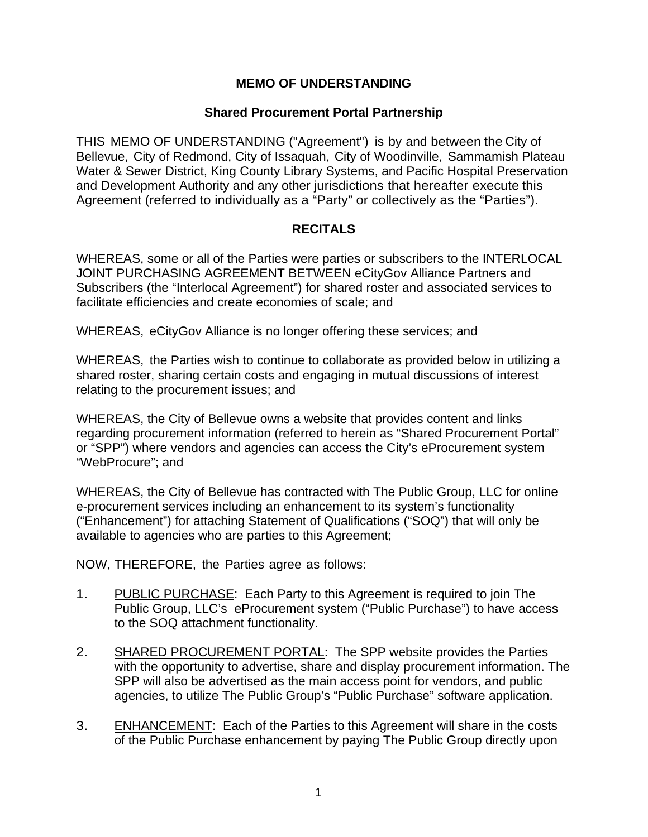## **MEMO OF UNDERSTANDING**

## **Shared Procurement Portal Partnership**

THIS MEMO OF UNDERSTANDING ("Agreement") is by and between the City of Bellevue, City of Redmond, City of Issaquah, City of Woodinville, Sammamish Plateau Water & Sewer District, King County Library Systems, and Pacific Hospital Preservation and Development Authority and any other jurisdictions that hereafter execute this Agreement (referred to individually as a "Party" or collectively as the "Parties").

## **RECITALS**

WHEREAS, some or all of the Parties were parties or subscribers to the INTERLOCAL JOINT PURCHASING AGREEMENT BETWEEN eCityGov Alliance Partners and Subscribers (the "Interlocal Agreement") for shared roster and associated services to facilitate efficiencies and create economies of scale; and

WHEREAS, eCityGov Alliance is no longer offering these services; and

WHEREAS, the Parties wish to continue to collaborate as provided below in utilizing a shared roster, sharing certain costs and engaging in mutual discussions of interest relating to the procurement issues; and

WHEREAS, the City of Bellevue owns a website that provides content and links regarding procurement information (referred to herein as "Shared Procurement Portal" or "SPP") where vendors and agencies can access the City's eProcurement system "WebProcure"; and

WHEREAS, the City of Bellevue has contracted with The Public Group, LLC for online e-procurement services including an enhancement to its system's functionality ("Enhancement") for attaching Statement of Qualifications ("SOQ") that will only be available to agencies who are parties to this Agreement;

NOW, THEREFORE, the Parties agree as follows:

- 1. PUBLIC PURCHASE: Each Party to this Agreement is required to join The Public Group, LLC's eProcurement system ("Public Purchase") to have access to the SOQ attachment functionality.
- 2. SHARED PROCUREMENT PORTAL: The SPP website provides the Parties with the opportunity to advertise, share and display procurement information. The SPP will also be advertised as the main access point for vendors, and public agencies, to utilize The Public Group's "Public Purchase" software application.
- 3. ENHANCEMENT: Each of the Parties to this Agreement will share in the costs of the Public Purchase enhancement by paying The Public Group directly upon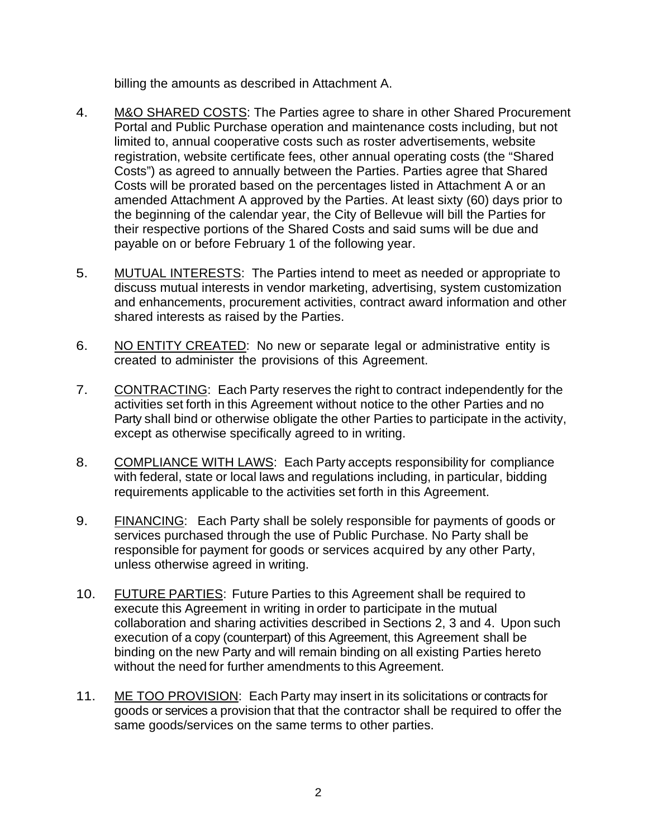billing the amounts as described in Attachment A.

- 4. M&O SHARED COSTS: The Parties agree to share in other Shared Procurement Portal and Public Purchase operation and maintenance costs including, but not limited to, annual cooperative costs such as roster advertisements, website registration, website certificate fees, other annual operating costs (the "Shared Costs") as agreed to annually between the Parties. Parties agree that Shared Costs will be prorated based on the percentages listed in Attachment A or an amended Attachment A approved by the Parties. At least sixty (60) days prior to the beginning of the calendar year, the City of Bellevue will bill the Parties for their respective portions of the Shared Costs and said sums will be due and payable on or before February 1 of the following year.
- 5. MUTUAL INTERESTS: The Parties intend to meet as needed or appropriate to discuss mutual interests in vendor marketing, advertising, system customization and enhancements, procurement activities, contract award information and other shared interests as raised by the Parties.
- 6. NO ENTITY CREATED: No new or separate legal or administrative entity is created to administer the provisions of this Agreement.
- 7. CONTRACTING: Each Party reserves the right to contract independently for the activities set forth in this Agreement without notice to the other Parties and no Party shall bind or otherwise obligate the other Parties to participate in the activity, except as otherwise specifically agreed to in writing.
- 8. COMPLIANCE WITH LAWS: Each Party accepts responsibility for compliance with federal, state or local laws and regulations including, in particular, bidding requirements applicable to the activities set forth in this Agreement.
- 9. FINANCING: Each Party shall be solely responsible for payments of goods or services purchased through the use of Public Purchase. No Party shall be responsible for payment for goods or services acquired by any other Party, unless otherwise agreed in writing.
- 10. FUTURE PARTIES: Future Parties to this Agreement shall be required to execute this Agreement in writing in order to participate in the mutual collaboration and sharing activities described in Sections 2, 3 and 4. Upon such execution of a copy (counterpart) of this Agreement, this Agreement shall be binding on the new Party and will remain binding on all existing Parties hereto without the need for further amendments to this Agreement.
- 11. ME TOO PROVISION: Each Party may insert in its solicitations or contracts for goods or services a provision that that the contractor shall be required to offer the same goods/services on the same terms to other parties.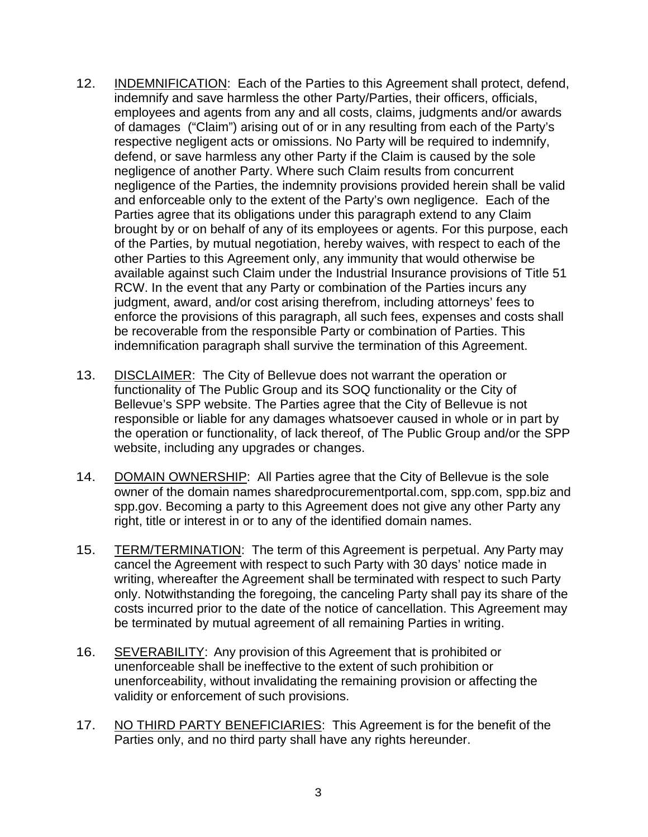- 12. INDEMNIFICATION: Each of the Parties to this Agreement shall protect, defend, indemnify and save harmless the other Party/Parties, their officers, officials, employees and agents from any and all costs, claims, judgments and/or awards of damages ("Claim") arising out of or in any resulting from each of the Party's respective negligent acts or omissions. No Party will be required to indemnify, defend, or save harmless any other Party if the Claim is caused by the sole negligence of another Party. Where such Claim results from concurrent negligence of the Parties, the indemnity provisions provided herein shall be valid and enforceable only to the extent of the Party's own negligence. Each of the Parties agree that its obligations under this paragraph extend to any Claim brought by or on behalf of any of its employees or agents. For this purpose, each of the Parties, by mutual negotiation, hereby waives, with respect to each of the other Parties to this Agreement only, any immunity that would otherwise be available against such Claim under the Industrial Insurance provisions of Title 51 RCW. In the event that any Party or combination of the Parties incurs any judgment, award, and/or cost arising therefrom, including attorneys' fees to enforce the provisions of this paragraph, all such fees, expenses and costs shall be recoverable from the responsible Party or combination of Parties. This indemnification paragraph shall survive the termination of this Agreement.
- 13. DISCLAIMER: The City of Bellevue does not warrant the operation or functionality of The Public Group and its SOQ functionality or the City of Bellevue's SPP website. The Parties agree that the City of Bellevue is not responsible or liable for any damages whatsoever caused in whole or in part by the operation or functionality, of lack thereof, of The Public Group and/or the SPP website, including any upgrades or changes.
- 14. DOMAIN OWNERSHIP: All Parties agree that the City of Bellevue is the sole owner of the domain names sharedprocurementportal.com, spp.com, spp.biz and spp.gov. Becoming a party to this Agreement does not give any other Party any right, title or interest in or to any of the identified domain names.
- 15. TERM/TERMINATION: The term of this Agreement is perpetual. Any Party may cancel the Agreement with respect to such Party with 30 days' notice made in writing, whereafter the Agreement shall be terminated with respect to such Party only. Notwithstanding the foregoing, the canceling Party shall pay its share of the costs incurred prior to the date of the notice of cancellation. This Agreement may be terminated by mutual agreement of all remaining Parties in writing.
- 16. SEVERABILITY: Any provision of this Agreement that is prohibited or unenforceable shall be ineffective to the extent of such prohibition or unenforceability, without invalidating the remaining provision or affecting the validity or enforcement of such provisions.
- 17. NO THIRD PARTY BENEFICIARIES: This Agreement is for the benefit of the Parties only, and no third party shall have any rights hereunder.